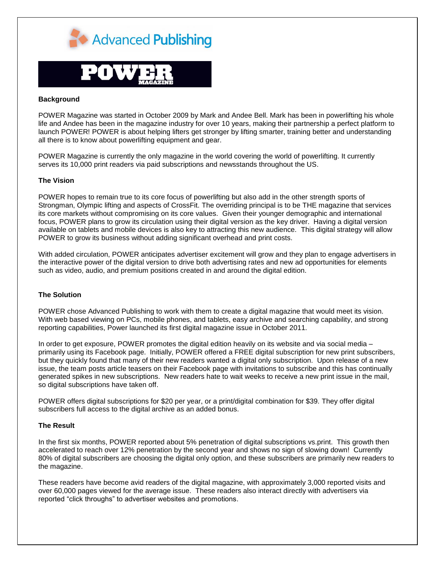



## **Background**

POWER Magazine was started in October 2009 by Mark and Andee Bell. Mark has been in powerlifting his whole life and Andee has been in the magazine industry for over 10 years, making their partnership a perfect platform to launch POWER! POWER is about helping lifters get stronger by lifting smarter, training better and understanding all there is to know about powerlifting equipment and gear.

POWER Magazine is currently the only magazine in the world covering the world of powerlifting. It currently serves its 10,000 print readers via paid subscriptions and newsstands throughout the US.

## **The Vision**

POWER hopes to remain true to its core focus of powerlifting but also add in the other strength sports of Strongman, Olympic lifting and aspects of CrossFit. The overriding principal is to be THE magazine that services its core markets without compromising on its core values. Given their younger demographic and international focus, POWER plans to grow its circulation using their digital version as the key driver. Having a digital version available on tablets and mobile devices is also key to attracting this new audience. This digital strategy will allow POWER to grow its business without adding significant overhead and print costs.

With added circulation, POWER anticipates advertiser excitement will grow and they plan to engage advertisers in the interactive power of the digital version to drive both advertising rates and new ad opportunities for elements such as video, audio, and premium positions created in and around the digital edition.

## **The Solution**

POWER chose Advanced Publishing to work with them to create a digital magazine that would meet its vision. With web based viewing on PCs, mobile phones, and tablets, easy archive and searching capability, and strong reporting capabilities, Power launched its first digital magazine issue in October 2011.

In order to get exposure, POWER promotes the digital edition heavily on its website and via social media – primarily using its Facebook page. Initially, POWER offered a FREE digital subscription for new print subscribers, but they quickly found that many of their new readers wanted a digital only subscription. Upon release of a new issue, the team posts article teasers on their Facebook page with invitations to subscribe and this has continually generated spikes in new subscriptions. New readers hate to wait weeks to receive a new print issue in the mail, so digital subscriptions have taken off.

POWER offers digital subscriptions for \$20 per year, or a print/digital combination for \$39. They offer digital subscribers full access to the digital archive as an added bonus.

## **The Result**

In the first six months, POWER reported about 5% penetration of digital subscriptions vs.print. This growth then accelerated to reach over 12% penetration by the second year and shows no sign of slowing down! Currently 80% of digital subscribers are choosing the digital only option, and these subscribers are primarily new readers to the magazine.

These readers have become avid readers of the digital magazine, with approximately 3,000 reported visits and over 60,000 pages viewed for the average issue. These readers also interact directly with advertisers via reported "click throughs" to advertiser websites and promotions.